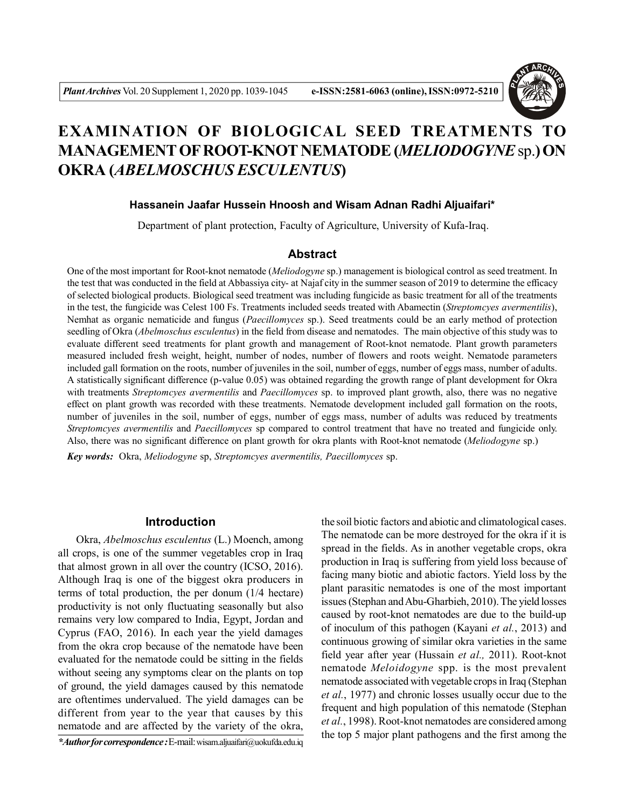

# **EXAMINATION OF BIOLOGICAL SEED TREATMENTS TO MANAGEMENT OF ROOT-KNOT NEMATODE (***MELIODOGYNE* sp.**) ON OKRA (***ABELMOSCHUS ESCULENTUS***)**

### **Hassanein Jaafar Hussein Hnoosh and Wisam Adnan Radhi Aljuaifari\***

Department of plant protection, Faculty of Agriculture, University of Kufa-Iraq.

## **Abstract**

One of the most important for Root-knot nematode (*Meliodogyne* sp.) management is biological control as seed treatment. In the test that was conducted in the field at Abbassiya city- at Najaf city in the summer season of 2019 to determine the efficacy of selected biological products. Biological seed treatment was including fungicide as basic treatment for all of the treatments in the test, the fungicide was Celest 100 Fs. Treatments included seeds treated with Abamectin (*Streptomcyes avermentilis*), Nemhat as organic nematicide and fungus (*Paecillomyces* sp.). Seed treatments could be an early method of protection seedling of Okra (*Abelmoschus esculentus*) in the field from disease and nematodes. The main objective of this study was to evaluate different seed treatments for plant growth and management of Root-knot nematode. Plant growth parameters measured included fresh weight, height, number of nodes, number of flowers and roots weight. Nematode parameters included gall formation on the roots, number of juveniles in the soil, number of eggs, number of eggs mass, number of adults. A statistically significant difference (p-value 0.05) was obtained regarding the growth range of plant development for Okra with treatments *Streptomcyes avermentilis* and *Paecillomyces* sp. to improved plant growth, also, there was no negative effect on plant growth was recorded with these treatments. Nematode development included gall formation on the roots, number of juveniles in the soil, number of eggs, number of eggs mass, number of adults was reduced by treatments *Streptomcyes avermentilis* and *Paecillomyces* sp compared to control treatment that have no treated and fungicide only. Also, there was no significant difference on plant growth for okra plants with Root-knot nematode (*Meliodogyne* sp.)

*Key words:* Okra, *Meliodogyne* sp, *Streptomcyes avermentilis, Paecillomyces* sp.

#### **Introduction**

Okra, *Abelmoschus esculentus* (L.) Moench, among all crops, is one of the summer vegetables crop in Iraq that almost grown in all over the country (ICSO, 2016). Although Iraq is one of the biggest okra producers in terms of total production, the per donum (1/4 hectare) productivity is not only fluctuating seasonally but also remains very low compared to India, Egypt, Jordan and Cyprus (FAO, 2016). In each year the yield damages from the okra crop because of the nematode have been evaluated for the nematode could be sitting in the fields without seeing any symptoms clear on the plants on top of ground, the yield damages caused by this nematode are oftentimes undervalued. The yield damages can be different from year to the year that causes by this nematode and are affected by the variety of the okra,

*\*Author for correspondence :* E-mail: wisam.aljuaifari@uokufda.edu.iq

the soil biotic factors and abiotic and climatological cases. The nematode can be more destroyed for the okra if it is spread in the fields. As in another vegetable crops, okra production in Iraq is suffering from yield loss because of facing many biotic and abiotic factors. Yield loss by the plant parasitic nematodes is one of the most important issues (Stephan and Abu-Gharbieh, 2010). The yield losses caused by root-knot nematodes are due to the build-up of inoculum of this pathogen (Kayani *et al.*, 2013) and continuous growing of similar okra varieties in the same field year after year (Hussain *et al.,* 2011). Root-knot nematode *Meloidogyne* spp. is the most prevalent nematode associated with vegetable crops in Iraq (Stephan *et al.*, 1977) and chronic losses usually occur due to the frequent and high population of this nematode (Stephan *et al.*, 1998). Root-knot nematodes are considered among the top 5 major plant pathogens and the first among the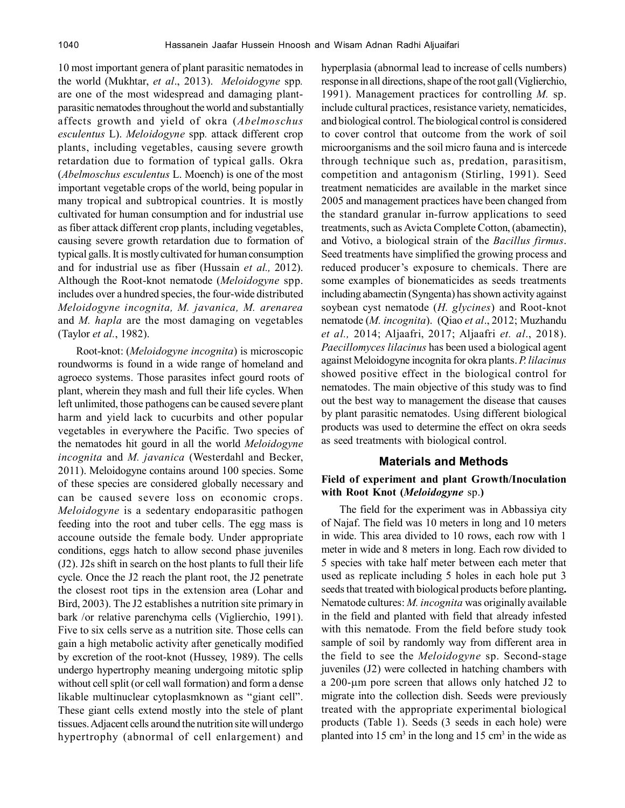10 most important genera of plant parasitic nematodes in the world (Mukhtar, *et al*., 2013). *Meloidogyne* spp*.* are one of the most widespread and damaging plantparasitic nematodes throughout the world and substantially affects growth and yield of okra (*Abelmoschus esculentus* L). *Meloidogyne* spp*.* attack different crop plants, including vegetables, causing severe growth retardation due to formation of typical galls. Okra (*Abelmoschus esculentus* L. Moench) is one of the most important vegetable crops of the world, being popular in many tropical and subtropical countries. It is mostly cultivated for human consumption and for industrial use as fiber attack different crop plants, including vegetables, causing severe growth retardation due to formation of typical galls. It is mostly cultivated for human consumption and for industrial use as fiber (Hussain *et al.,* 2012). Although the Root-knot nematode (*Meloidogyne* spp. includes over a hundred species, the four-wide distributed *Meloidogyne incognita, M. javanica, M. arenarea* and *M. hapla* are the most damaging on vegetables (Taylor *et al.*, 1982).

Root-knot: (*Meloidogyne incognita*) is microscopic roundworms is found in a wide range of homeland and agroeco systems. Those parasites infect gourd roots of plant, wherein they mash and full their life cycles. When left unlimited, those pathogens can be caused severe plant harm and yield lack to cucurbits and other popular vegetables in everywhere the Pacific. Two species of the nematodes hit gourd in all the world *Meloidogyne incognita* and *M. javanica* (Westerdahl and Becker, 2011). Meloidogyne contains around 100 species. Some of these species are considered globally necessary and can be caused severe loss on economic crops. *Meloidogyne* is a sedentary endoparasitic pathogen feeding into the root and tuber cells. The egg mass is accoune outside the female body. Under appropriate conditions, eggs hatch to allow second phase juveniles (J2). J2s shift in search on the host plants to full their life cycle. Once the J2 reach the plant root, the J2 penetrate the closest root tips in the extension area (Lohar and Bird, 2003). The J2 establishes a nutrition site primary in bark /or relative parenchyma cells (Viglierchio, 1991). Five to six cells serve as a nutrition site. Those cells can gain a high metabolic activity after genetically modified by excretion of the root-knot (Hussey, 1989). The cells undergo hypertrophy meaning undergoing mitotic splip without cell split (or cell wall formation) and form a dense likable multinuclear cytoplasmknown as "giant cell". These giant cells extend mostly into the stele of plant tissues. Adjacent cells around the nutrition site will undergo hypertrophy (abnormal of cell enlargement) and

hyperplasia (abnormal lead to increase of cells numbers) response in all directions, shape of the root gall (Viglierchio, 1991). Management practices for controlling *M.* sp. include cultural practices, resistance variety, nematicides, and biological control. The biological control is considered to cover control that outcome from the work of soil microorganisms and the soil micro fauna and is intercede through technique such as, predation, parasitism, competition and antagonism (Stirling, 1991). Seed treatment nematicides are available in the market since 2005 and management practices have been changed from the standard granular in-furrow applications to seed treatments, such as Avicta Complete Cotton, (abamectin), and Votivo, a biological strain of the *Bacillus firmus*. Seed treatments have simplified the growing process and reduced producer's exposure to chemicals. There are some examples of bionematicides as seeds treatments including abamectin (Syngenta) has shown activity against soybean cyst nematode (*H. glycines*) and Root-knot nematode (*M. incognita*). (Qiao *et al*., 2012; Muzhandu *et al.,* 2014; Aljaafri, 2017; Aljaafri *et. al*., 2018). *Paecillomyces lilacinus* has been used a biological agent against Meloidogyne incognita for okra plants. *P. lilacinus* showed positive effect in the biological control for nematodes. The main objective of this study was to find out the best way to management the disease that causes by plant parasitic nematodes. Using different biological products was used to determine the effect on okra seeds as seed treatments with biological control.

#### **Materials and Methods**

### **Field of experiment and plant Growth/Inoculation with Root Knot (***Meloidogyne* sp.**)**

The field for the experiment was in Abbassiya city of Najaf. The field was 10 meters in long and 10 meters in wide. This area divided to 10 rows, each row with 1 meter in wide and 8 meters in long. Each row divided to 5 species with take half meter between each meter that used as replicate including 5 holes in each hole put 3 seeds that treated with biological products before planting**.** Nematode cultures: *M. incognita* was originally available in the field and planted with field that already infested with this nematode. From the field before study took sample of soil by randomly way from different area in the field to see the *Meloidogyne* sp. Second-stage juveniles (J2) were collected in hatching chambers with a 200-µm pore screen that allows only hatched J2 to migrate into the collection dish. Seeds were previously treated with the appropriate experimental biological products (Table 1). Seeds (3 seeds in each hole) were planted into  $15 \text{ cm}^3$  in the long and  $15 \text{ cm}^3$  in the wide as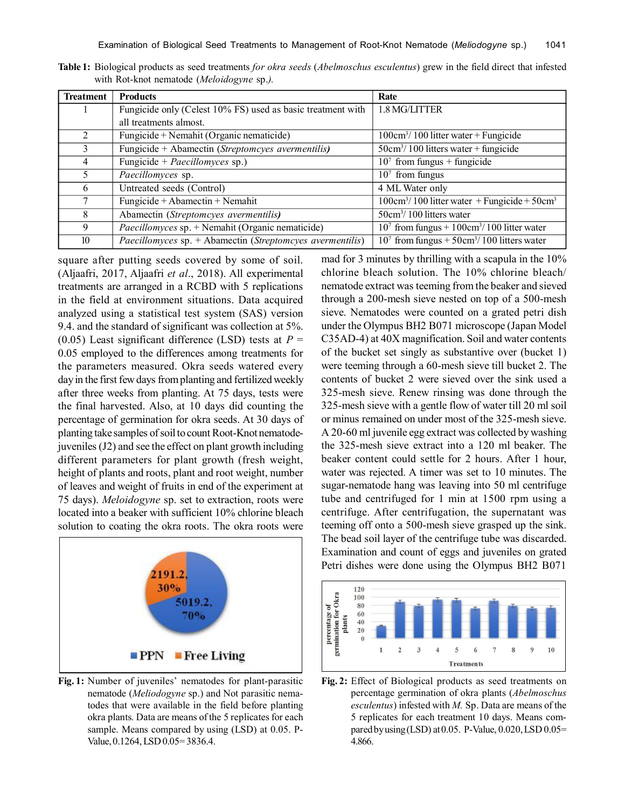| <b>Treatment</b> | <b>Products</b>                                             | Rate                                                                |
|------------------|-------------------------------------------------------------|---------------------------------------------------------------------|
|                  | Fungicide only (Celest 10% FS) used as basic treatment with | 1.8 MG/LITTER                                                       |
|                  | all treatments almost.                                      |                                                                     |
|                  | Fungicide + Nemahit (Organic nematicide)                    | $100 \text{cm}^3/ 100$ litter water + Fungicide                     |
| 3                | Fungicide + Abamectin (Streptomcyes avermentilis)           | $50 \text{cm}^3 / 100$ litters water + fungicide                    |
| 4                | Fungicide + Paecillomyces sp.)                              | $107$ from fungus + fungicide                                       |
| 5.               | Paecillomyces sp.                                           | $107$ from fungus                                                   |
| 6                | Untreated seeds (Control)                                   | 4 ML Water only                                                     |
| 7                | Fungicide + Abamectin + Nemahit                             | $100 \text{cm}^3/ 100$ litter water + Fungicide + 50cm <sup>3</sup> |
| 8                | Abamectin (Streptomcyes avermentilis)                       | $50 \text{cm}^3$ / 100 litters water                                |
| 9                | $Paecillomyces$ sp. + Nemahit (Organic nematicide)          | $107$ from fungus + $100 \text{cm}^3/ 100$ litter water             |
| 10               | Paecillomyces sp. + Abamectin (Streptomcyes avermentilis)   | $107$ from fungus + 50cm <sup>3</sup> /100 litters water            |

**Table 1:** Biological products as seed treatments *for okra seeds* (*Abelmoschus esculentus*) grew in the field direct that infested with Rot-knot nematode (*Meloidogyne* sp.*).*

square after putting seeds covered by some of soil. (Aljaafri, 2017, Aljaafri *et al*., 2018). All experimental treatments are arranged in a RCBD with 5 replications in the field at environment situations. Data acquired analyzed using a statistical test system (SAS) version 9.4. and the standard of significant was collection at 5%. (0.05) Least significant difference (LSD) tests at *P* = 0.05 employed to the differences among treatments for the parameters measured. Okra seeds watered every day in the first few days from planting and fertilized weekly after three weeks from planting. At 75 days, tests were the final harvested. Also, at 10 days did counting the percentage of germination for okra seeds. At 30 days of planting take samples of soil to count Root-Knot nematodejuveniles (J2) and see the effect on plant growth including different parameters for plant growth (fresh weight, height of plants and roots, plant and root weight, number of leaves and weight of fruits in end of the experiment at 75 days). *Meloidogyne* sp. set to extraction, roots were located into a beaker with sufficient 10% chlorine bleach solution to coating the okra roots. The okra roots were



**Fig. 1:** Number of juveniles' nematodes for plant-parasitic nematode (*Meliodogyne* sp.) and Not parasitic nematodes that were available in the field before planting okra plants*.* Data are means of the 5 replicates for each sample. Means compared by using (LSD) at 0.05. P-Value, 0.1264, LSD 0.05= 3836.4.

mad for 3 minutes by thrilling with a scapula in the 10% chlorine bleach solution. The 10% chlorine bleach/ nematode extract was teeming from the beaker and sieved through a 200-mesh sieve nested on top of a 500-mesh sieve. Nematodes were counted on a grated petri dish under the Olympus BH2 B071 microscope (Japan Model C35AD-4) at 40X magnification. Soil and water contents of the bucket set singly as substantive over (bucket 1) were teeming through a 60-mesh sieve till bucket 2. The contents of bucket 2 were sieved over the sink used a 325-mesh sieve. Renew rinsing was done through the 325-mesh sieve with a gentle flow of water till 20 ml soil or minus remained on under most of the 325-mesh sieve. A 20-60 ml juvenile egg extract was collected by washing the 325-mesh sieve extract into a 120 ml beaker. The beaker content could settle for 2 hours. After 1 hour, water was rejected. A timer was set to 10 minutes. The sugar-nematode hang was leaving into 50 ml centrifuge tube and centrifuged for 1 min at 1500 rpm using a centrifuge. After centrifugation, the supernatant was teeming off onto a 500-mesh sieve grasped up the sink. The bead soil layer of the centrifuge tube was discarded. Examination and count of eggs and juveniles on grated Petri dishes were done using the Olympus BH2 B071



**Fig. 2:** Effect of Biological products as seed treatments on percentage germination of okra plants (*Abelmoschus esculentus*) infested with *M.* Sp. Data are means of the 5 replicates for each treatment 10 days. Means compared by using (LSD) at  $0.05$ . P-Value,  $0.020$ , LSD  $0.05=$ 4.866.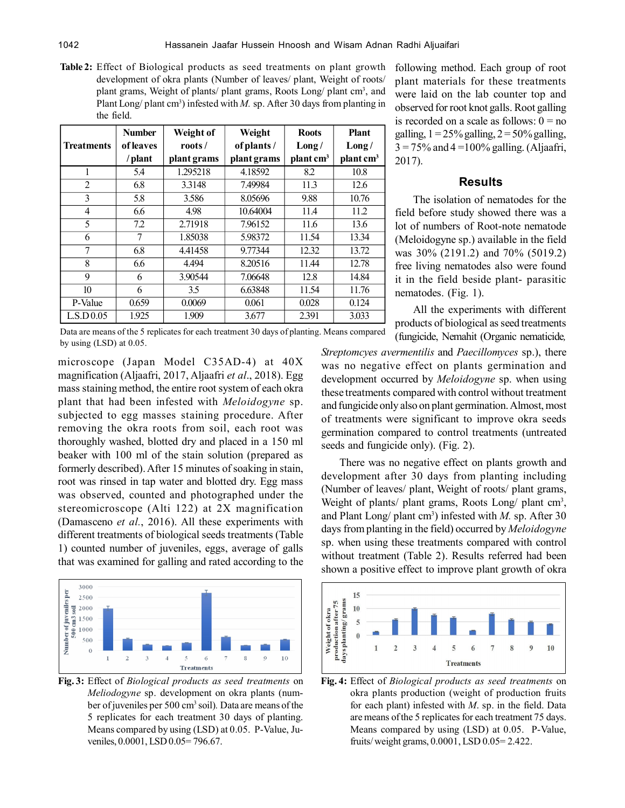**Table 2:** Effect of Biological products as seed treatments on plant growth development of okra plants (Number of leaves/ plant, Weight of roots/ plant grams, Weight of plants/ plant grams, Roots Long/ plant cm<sup>3</sup>, and Plant Long/ plant cm<sup>3</sup>) infested with *M*. sp. After 30 days from planting in the field.

|                   | <b>Number</b> | Weight of   | Weight      | <b>Roots</b>          | <b>Plant</b>          |
|-------------------|---------------|-------------|-------------|-----------------------|-----------------------|
| <b>Treatments</b> | of leaves     | roots/      | of plants / | Long/                 | Long/                 |
|                   | /plant        | plant grams | plant grams | plant cm <sup>3</sup> | plant cm <sup>3</sup> |
| 1                 | 5.4           | 1.295218    | 4.18592     | 8.2                   | 10.8                  |
| $\overline{2}$    | 6.8           | 3.3148      | 7.49984     | 11.3                  | 12.6                  |
| 3                 | 5.8           | 3.586       | 8.05696     | 9.88                  | 10.76                 |
| 4                 | 6.6           | 4.98        | 10.64004    | 11.4                  | 11.2                  |
| 5                 | 7.2           | 2.71918     | 7.96152     | 11.6                  | 13.6                  |
| 6                 | 7             | 1.85038     | 5.98372     | 11.54                 | 13.34                 |
| $\overline{7}$    | 6.8           | 4.41458     | 9.77344     | 12.32                 | 13.72                 |
| 8                 | 6.6           | 4.494       | 8.20516     | 11.44                 | 12.78                 |
| 9                 | 6             | 3.90544     | 7.06648     | 12.8                  | 14.84                 |
| 10                | 6             | 3.5         | 6.63848     | 11.54                 | 11.76                 |
| P-Value           | 0.659         | 0.0069      | 0.061       | 0.028                 | 0.124                 |
| L.S.D 0.05        | 1.925         | 1.909       | 3.677       | 2.391                 | 3.033                 |

following method. Each group of root plant materials for these treatments were laid on the lab counter top and observed for root knot galls. Root galling is recorded on a scale as follows:  $0 = no$ galling,  $1 = 25\%$  galling,  $2 = 50\%$  galling,  $3 = 75\%$  and  $4 = 100\%$  galling. (Aljaafri, 2017).

# **Results**

The isolation of nematodes for the field before study showed there was a lot of numbers of Root-note nematode (Meloidogyne sp.) available in the field was 30% (2191.2) and 70% (5019.2) free living nematodes also were found it in the field beside plant- parasitic nematodes. (Fig. 1).

All the experiments with different products of biological as seed treatments (fungicide, Nemahit (Organic nematicide*,*

Data are means of the 5 replicates for each treatment 30 days of planting. Means compared by using (LSD) at 0.05.

microscope (Japan Model C35AD-4) at 40X magnification (Aljaafri, 2017, Aljaafri *et al*., 2018). Egg mass staining method, the entire root system of each okra plant that had been infested with *Meloidogyne* sp. subjected to egg masses staining procedure. After removing the okra roots from soil, each root was thoroughly washed, blotted dry and placed in a 150 ml beaker with 100 ml of the stain solution (prepared as formerly described). After 15 minutes of soaking in stain, root was rinsed in tap water and blotted dry. Egg mass was observed, counted and photographed under the stereomicroscope (Alti 122) at 2X magnification (Damasceno *et al.*, 2016). All these experiments with different treatments of biological seeds treatments (Table 1) counted number of juveniles, eggs, average of galls that was examined for galling and rated according to the



**Fig. 3:** Effect of *Biological products as seed treatments* on *Meliodogyne* sp. development on okra plants (number of juveniles per 500 cm<sup>3</sup> soil). Data are means of the 5 replicates for each treatment 30 days of planting. Means compared by using (LSD) at 0.05. P-Value, Juveniles, 0.0001, LSD 0.05= 796.67.

*Streptomcyes avermentilis* and *Paecillomyces* sp.), there was no negative effect on plants germination and development occurred by *Meloidogyne* sp. when using these treatments compared with control without treatment and fungicide only also on plant germination. Almost, most of treatments were significant to improve okra seeds germination compared to control treatments (untreated seeds and fungicide only). (Fig. 2).

There was no negative effect on plants growth and development after 30 days from planting including (Number of leaves/ plant, Weight of roots/ plant grams, Weight of plants/ plant grams, Roots Long/ plant cm<sup>3</sup>, and Plant Long/ plant cm<sup>3</sup> ) infested with *M.* sp. After 30 days from planting in the field) occurred by *Meloidogyne* sp. when using these treatments compared with control without treatment (Table 2). Results referred had been shown a positive effect to improve plant growth of okra



**Fig. 4:** Effect of *Biological products as seed treatments* on okra plants production (weight of production fruits for each plant) infested with *M*. sp. in the field. Data are means of the 5 replicates for each treatment 75 days. Means compared by using (LSD) at 0.05. P-Value, fruits/ weight grams, 0.0001, LSD 0.05= 2.422.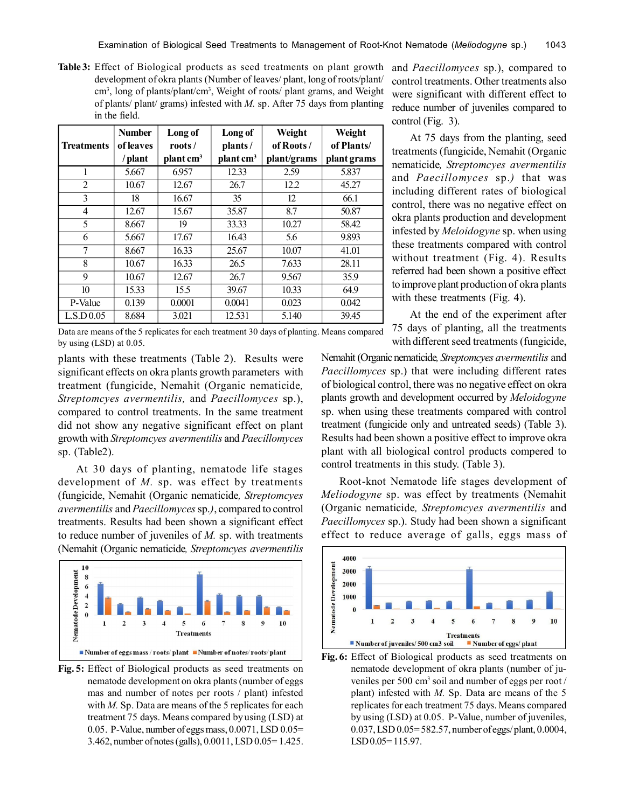**Table 3:** Effect of Biological products as seed treatments on plant growth development of okra plants (Number of leaves/ plant, long of roots/plant/ cm<sup>3</sup>, long of plants/plant/cm<sup>3</sup>, Weight of roots/ plant grams, and Weight of plants/ plant/ grams) infested with *M.* sp. After 75 days from planting in the field.

|                   | <b>Number</b> | Long of               | Long of               | Weight      | Weight      |
|-------------------|---------------|-----------------------|-----------------------|-------------|-------------|
| <b>Treatments</b> | of leaves     | roots/                | plants/               | of Roots/   | of Plants/  |
|                   | /plant        | plant cm <sup>3</sup> | plant cm <sup>3</sup> | plant/grams | plant grams |
| 1                 | 5.667         | 6.957                 | 12.33                 | 2.59        | 5.837       |
| $\overline{2}$    | 10.67         | 12.67                 | 26.7                  | 12.2        | 45.27       |
| 3                 | 18            | 16.67                 | 35                    | 12          | 66.1        |
| $\overline{4}$    | 12.67         | 15.67                 | 35.87                 | 8.7         | 50.87       |
| 5                 | 8.667         | 19                    | 33.33                 | 10.27       | 58.42       |
| 6                 | 5.667         | 17.67                 | 16.43                 | 5.6         | 9.893       |
| 7                 | 8.667         | 16.33                 | 25.67                 | 10.07       | 41.01       |
| 8                 | 10.67         | 16.33                 | 26.5                  | 7.633       | 28.11       |
| 9                 | 10.67         | 12.67                 | 26.7                  | 9.567       | 35.9        |
| 10                | 15.33         | 15.5                  | 39.67                 | 10.33       | 64.9        |
| P-Value           | 0.139         | 0.0001                | 0.0041                | 0.023       | 0.042       |
| L.S.D.0.05        | 8.684         | 3.021                 | 12.531                | 5.140       | 39.45       |

Data are means of the 5 replicates for each treatment 30 days of planting. Means compared by using (LSD) at 0.05.

plants with these treatments (Table 2). Results were significant effects on okra plants growth parameters with treatment (fungicide, Nemahit (Organic nematicide*, Streptomcyes avermentilis,* and *Paecillomyces* sp.), compared to control treatments. In the same treatment did not show any negative significant effect on plant growth with *Streptomcyes avermentilis* and *Paecillomyces* sp. (Table2).

At 30 days of planting, nematode life stages development of *M.* sp. was effect by treatments (fungicide, Nemahit (Organic nematicide*, Streptomcyes avermentilis* and *Paecillomyces* sp.*)*, compared to control treatments. Results had been shown a significant effect to reduce number of juveniles of *M.* sp. with treatments (Nemahit (Organic nematicide*, Streptomcyes avermentilis*



**Fig. 5:** Effect of Biological products as seed treatments on nematode development on okra plants (number of eggs mas and number of notes per roots / plant) infested with *M*. Sp. Data are means of the 5 replicates for each treatment 75 days. Means compared by using (LSD) at 0.05. P-Value, number of eggs mass, 0.0071, LSD 0.05= 3.462, number of notes (galls), 0.0011, LSD 0.05= 1.425.

and *Paecillomyces* sp.), compared to control treatments. Other treatments also were significant with different effect to reduce number of juveniles compared to control (Fig. 3).

At 75 days from the planting, seed treatments (fungicide, Nemahit (Organic nematicide*, Streptomcyes avermentilis* and *Paecillomyces* sp.*)* that was including different rates of biological control, there was no negative effect on okra plants production and development infested by *Meloidogyne* sp. when using these treatments compared with control without treatment (Fig. 4). Results referred had been shown a positive effect to improve plant production of okra plants with these treatments (Fig. 4).

At the end of the experiment after 75 days of planting, all the treatments with different seed treatments (fungicide,

Nemahit (Organic nematicide*, Streptomcyes avermentilis* and *Paecillomyces* sp.) that were including different rates of biological control, there was no negative effect on okra plants growth and development occurred by *Meloidogyne* sp. when using these treatments compared with control treatment (fungicide only and untreated seeds) (Table 3). Results had been shown a positive effect to improve okra plant with all biological control products compered to control treatments in this study. (Table 3).

Root-knot Nematode life stages development of *Meliodogyne* sp. was effect by treatments (Nemahit (Organic nematicide*, Streptomcyes avermentilis* and *Paecillomyces* sp.). Study had been shown a significant effect to reduce average of galls, eggs mass of



**Fig. 6:** Effect of Biological products as seed treatments on nematode development of okra plants (number of juveniles per 500 cm<sup>3</sup> soil and number of eggs per root / plant) infested with *M.* Sp. Data are means of the 5 replicates for each treatment 75 days. Means compared by using (LSD) at 0.05. P-Value, number of juveniles, 0.037, LSD 0.05= 582.57, number of eggs/ plant, 0.0004, LSD 0.05=115.97.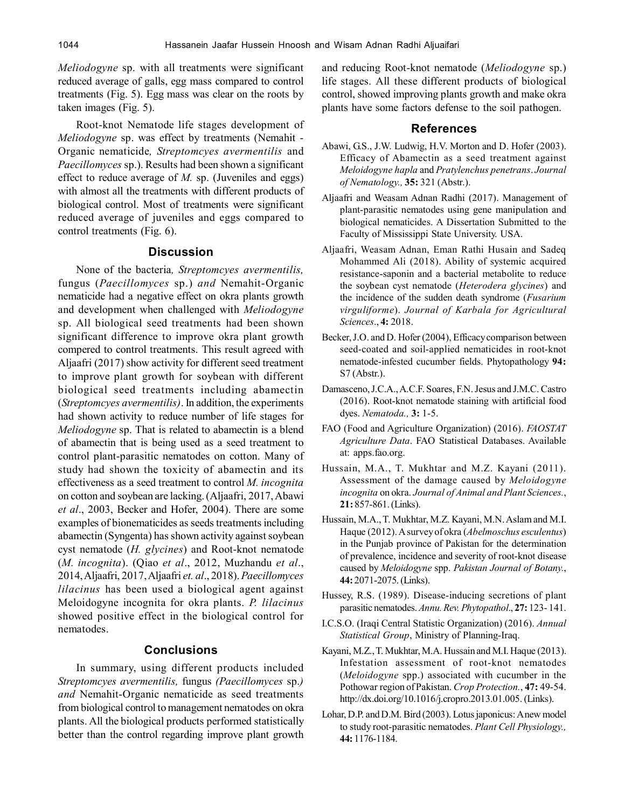*Meliodogyne* sp. with all treatments were significant reduced average of galls, egg mass compared to control treatments (Fig. 5). Egg mass was clear on the roots by taken images (Fig. 5).

Root-knot Nematode life stages development of *Meliodogyne* sp. was effect by treatments (Nemahit - Organic nematicide*, Streptomcyes avermentilis* and *Paecillomyces* sp.). Results had been shown a significant effect to reduce average of *M.* sp. (Juveniles and eggs) with almost all the treatments with different products of biological control. Most of treatments were significant reduced average of juveniles and eggs compared to control treatments (Fig. 6).

## **Discussion**

None of the bacteria*, Streptomcyes avermentilis,* fungus (*Paecillomyces* sp.) *and* Nemahit-Organic nematicide had a negative effect on okra plants growth and development when challenged with *Meliodogyne* sp. All biological seed treatments had been shown significant difference to improve okra plant growth compered to control treatments. This result agreed with Aljaafri (2017) show activity for different seed treatment to improve plant growth for soybean with different biological seed treatments including abamectin (*Streptomcyes avermentilis)*. In addition, the experiments had shown activity to reduce number of life stages for *Meliodogyne* sp. That is related to abamectin is a blend of abamectin that is being used as a seed treatment to control plant-parasitic nematodes on cotton. Many of study had shown the toxicity of abamectin and its effectiveness as a seed treatment to control *M. incognita* on cotton and soybean are lacking. (Aljaafri, 2017, Abawi *et al*., 2003, Becker and Hofer, 2004). There are some examples of bionematicides as seeds treatments including abamectin (Syngenta) has shown activity against soybean cyst nematode (*H. glycines*) and Root-knot nematode (*M. incognita*). (Qiao *et al*., 2012, Muzhandu *et al*., 2014, Aljaafri, 2017, Aljaafri *et. al*., 2018). *Paecillomyces lilacinus* has been used a biological agent against Meloidogyne incognita for okra plants. *P. lilacinus* showed positive effect in the biological control for nematodes.

# **Conclusions**

In summary, using different products included *Streptomcyes avermentilis,* fungus *(Paecillomyces* sp.*) and* Nemahit-Organic nematicide as seed treatments from biological control to management nematodes on okra plants. All the biological products performed statistically better than the control regarding improve plant growth

and reducing Root-knot nematode (*Meliodogyne* sp.) life stages. All these different products of biological control, showed improving plants growth and make okra plants have some factors defense to the soil pathogen.

#### **References**

- Abawi, G.S., J.W. Ludwig, H.V. Morton and D. Hofer (2003). Efficacy of Abamectin as a seed treatment against *Meloidogyne hapla* and *Pratylenchus penetrans*. *Journal of Nematology.,* **35:** 321 (Abstr.).
- Aljaafri and Weasam Adnan Radhi (2017). Management of plant-parasitic nematodes using gene manipulation and biological nematicides. A Dissertation Submitted to the Faculty of Mississippi State University. USA.
- Aljaafri, Weasam Adnan, Eman Rathi Husain and Sadeq Mohammed Ali (2018). Ability of systemic acquired resistance-saponin and a bacterial metabolite to reduce the soybean cyst nematode (*Heterodera glycines*) and the incidence of the sudden death syndrome (*Fusarium virguliforme*). *Journal of Karbala for Agricultural Sciences*., **4:** 2018.
- Becker, J.O. and D. Hofer (2004), Efficacy comparison between seed-coated and soil-applied nematicides in root-knot nematode-infested cucumber fields. Phytopathology **94:** S7 (Abstr.).
- Damasceno, J.C.A., A.C.F. Soares, F.N. Jesus and J.M.C. Castro (2016). Root-knot nematode staining with artificial food dyes. *Nematoda.,* **3:** 1-5.
- FAO (Food and Agriculture Organization) (2016). *FAOSTAT Agriculture Data*. FAO Statistical Databases. Available at: apps.fao.org.
- Hussain, M.A., T. Mukhtar and M.Z. Kayani (2011). Assessment of the damage caused by *Meloidogyne incognita* on okra. *Journal of Animal and Plant Sciences.*, **21:** 857-861. (Links).
- Hussain, M.A., T. Mukhtar, M.Z. Kayani, M.N. Aslam and M.I. Haque (2012). A survey of okra (*Abelmoschus esculentus*) in the Punjab province of Pakistan for the determination of prevalence, incidence and severity of root-knot disease caused by *Meloidogyne* spp. *Pakistan Journal of Botany.*, **44:** 2071-2075. (Links).
- Hussey, R.S. (1989). Disease-inducing secretions of plant parasitic nematodes. *Annu. Rev. Phytopathol*., **27:** 123- 141.
- I.C.S.O. (Iraqi Central Statistic Organization) (2016). *Annual Statistical Group*, Ministry of Planning-Iraq.
- Kayani, M.Z., T. Mukhtar, M.A. Hussain and M.I. Haque (2013). Infestation assessment of root-knot nematodes (*Meloidogyne* spp.) associated with cucumber in the Pothowar region of Pakistan. *Crop Protection.*, **47:** 49-54. http://dx.doi.org/10.1016/j.cropro.2013.01.005. (Links).
- Lohar, D.P. and D.M. Bird (2003). Lotus japonicus: A new model to study root-parasitic nematodes. *Plant Cell Physiology.,* **44:** 1176-1184.